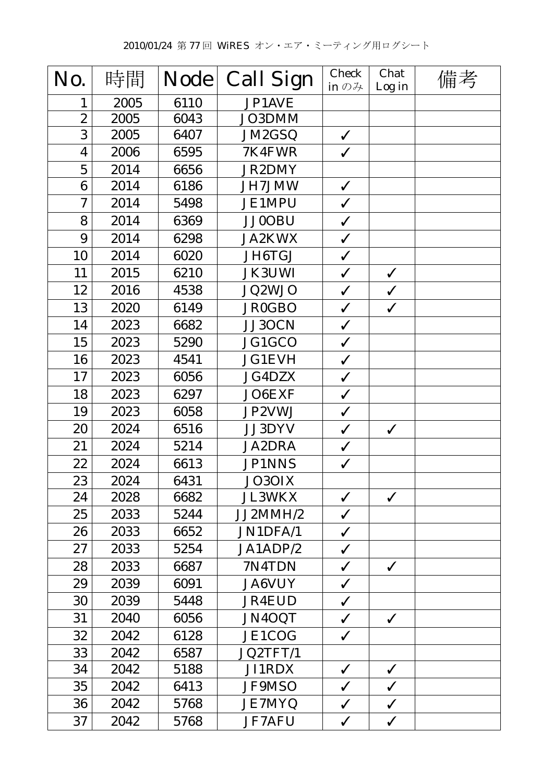| No.                      | 時間   | <b>Node</b> | <b>Call Sign</b> | <b>Check</b><br>in $\mathcal{D} \mathcal{H}$ | Chat<br>Log in | 備考 |
|--------------------------|------|-------------|------------------|----------------------------------------------|----------------|----|
| 1                        | 2005 | 6110        | JP1AVE           |                                              |                |    |
| $\boldsymbol{2}$         | 2005 | 6043        | JO3DMM           |                                              |                |    |
| 3                        | 2005 | 6407        | JM2GSQ           | $\checkmark$                                 |                |    |
| $\overline{\mathbf{4}}$  | 2006 | 6595        | 7K4FWR           | $\checkmark$                                 |                |    |
| $\overline{5}$           | 2014 | 6656        | <b>JR2DMY</b>    |                                              |                |    |
| $\bf{6}$                 | 2014 | 6186        | <b>JH7JMW</b>    | $\checkmark$                                 |                |    |
| $\overline{\mathcal{U}}$ | 2014 | 5498        | <b>JE1MPU</b>    | $\checkmark$                                 |                |    |
| 8                        | 2014 | 6369        | <b>JJ0OBU</b>    | $\checkmark$                                 |                |    |
| 9                        | 2014 | 6298        | <b>JA2KWX</b>    | $\checkmark$                                 |                |    |
| 10                       | 2014 | 6020        | JH6TGJ           | $\checkmark$                                 |                |    |
| 11                       | 2015 | 6210        | <b>JK3UWI</b>    | $\checkmark$                                 | $\checkmark$   |    |
| 12                       | 2016 | 4538        | JQ2WJO           | $\checkmark$                                 | $\checkmark$   |    |
| 13                       | 2020 | 6149        | <b>JR0GBO</b>    | $\checkmark$                                 | $\checkmark$   |    |
| 14                       | 2023 | 6682        | JJ3OCN           | $\checkmark$                                 |                |    |
| 15                       | 2023 | 5290        | JG1GCO           | $\checkmark$                                 |                |    |
| 16                       | 2023 | 4541        | <b>JG1EVH</b>    | $\checkmark$                                 |                |    |
| 17                       | 2023 | 6056        | <b>JG4DZX</b>    | $\checkmark$                                 |                |    |
| 18                       | 2023 | 6297        | JO6EXF           | $\checkmark$                                 |                |    |
| 19                       | 2023 | 6058        | JP2VWJ           | $\checkmark$                                 |                |    |
| 20                       | 2024 | 6516        | JJ3DYV           | $\checkmark$                                 | $\checkmark$   |    |
| 21                       | 2024 | 5214        | <b>JA2DRA</b>    | $\checkmark$                                 |                |    |
| 22                       | 2024 | 6613        | <b>JP1NNS</b>    | $\checkmark$                                 |                |    |
| 23                       | 2024 | 6431        | JO3OIX           |                                              |                |    |
| 24                       | 2028 | 6682        | <b>JL3WKX</b>    | $\checkmark$                                 | $\checkmark$   |    |
| 25                       | 2033 | 5244        | JJ2MMH/2         | $\checkmark$                                 |                |    |
| 26                       | 2033 | 6652        | JN1DFA/1         | $\checkmark$                                 |                |    |
| 27                       | 2033 | 5254        | JA1ADP/2         | $\checkmark$                                 |                |    |
| 28                       | 2033 | 6687        | 7N4TDN           | $\checkmark$                                 | $\checkmark$   |    |
| 29                       | 2039 | 6091        | <b>JA6VUY</b>    | $\checkmark$                                 |                |    |
| 30                       | 2039 | 5448        | <b>JR4EUD</b>    | $\checkmark$                                 |                |    |
| 31                       | 2040 | 6056        | JN4OQT           | $\checkmark$                                 | $\checkmark$   |    |
| 32                       | 2042 | 6128        | JE1COG           | $\checkmark$                                 |                |    |
| 33                       | 2042 | 6587        | JQ2TFT/1         |                                              |                |    |
| 34                       | 2042 | 5188        | JI1RDX           | $\checkmark$                                 | $\checkmark$   |    |
| 35                       | 2042 | 6413        | <b>JF9MSO</b>    | $\checkmark$                                 | $\checkmark$   |    |
| 36                       | 2042 | 5768        | <b>JE7MYQ</b>    | $\checkmark$                                 | $\checkmark$   |    |
| 37                       | 2042 | 5768        | <b>JF7AFU</b>    | $\checkmark$                                 | $\checkmark$   |    |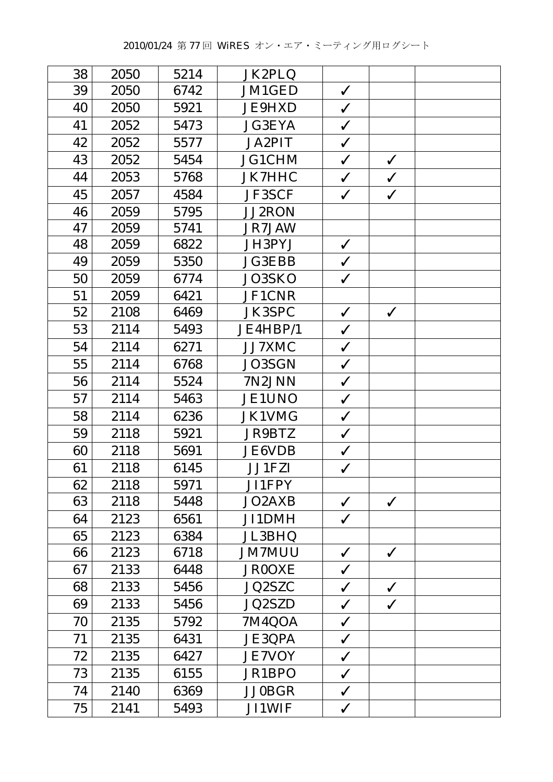| 38 | 2050 | 5214 | JK2PLQ        |              |              |  |
|----|------|------|---------------|--------------|--------------|--|
| 39 | 2050 | 6742 | JM1GED        | $\checkmark$ |              |  |
| 40 | 2050 | 5921 | <b>JE9HXD</b> | $\checkmark$ |              |  |
| 41 | 2052 | 5473 | <b>JG3EYA</b> | $\checkmark$ |              |  |
| 42 | 2052 | 5577 | <b>JA2PIT</b> | $\checkmark$ |              |  |
| 43 | 2052 | 5454 | <b>JG1CHM</b> | $\checkmark$ | $\checkmark$ |  |
| 44 | 2053 | 5768 | <b>JK7HHC</b> | $\checkmark$ | $\checkmark$ |  |
| 45 | 2057 | 4584 | <b>JF3SCF</b> | $\checkmark$ | $\checkmark$ |  |
| 46 | 2059 | 5795 | <b>JJ2RON</b> |              |              |  |
| 47 | 2059 | 5741 | JR7JAW        |              |              |  |
| 48 | 2059 | 6822 | JH3PYJ        | $\checkmark$ |              |  |
| 49 | 2059 | 5350 | <b>JG3EBB</b> | $\checkmark$ |              |  |
| 50 | 2059 | 6774 | JO3SKO        | $\checkmark$ |              |  |
| 51 | 2059 | 6421 | JF1CNR        |              |              |  |
| 52 | 2108 | 6469 | <b>JK3SPC</b> | $\checkmark$ | $\checkmark$ |  |
| 53 | 2114 | 5493 | JE4HBP/1      | $\checkmark$ |              |  |
| 54 | 2114 | 6271 | JJ7XMC        | $\checkmark$ |              |  |
| 55 | 2114 | 6768 | JO3SGN        | $\checkmark$ |              |  |
| 56 | 2114 | 5524 | 7N2JNN        | $\checkmark$ |              |  |
| 57 | 2114 | 5463 | <b>JE1UNO</b> | $\checkmark$ |              |  |
| 58 | 2114 | 6236 | <b>JK1VMG</b> | $\checkmark$ |              |  |
| 59 | 2118 | 5921 | <b>JR9BTZ</b> | $\checkmark$ |              |  |
| 60 | 2118 | 5691 | <b>JE6VDB</b> | $\checkmark$ |              |  |
| 61 | 2118 | 6145 | <b>JJ1FZI</b> | $\checkmark$ |              |  |
| 62 | 2118 | 5971 | JI1FPY        |              |              |  |
| 63 | 2118 | 5448 | JO2AXB        | $\checkmark$ | $\checkmark$ |  |
| 64 | 2123 | 6561 | JI1DMH        | $\checkmark$ |              |  |
| 65 | 2123 | 6384 | <b>JL3BHQ</b> |              |              |  |
| 66 | 2123 | 6718 | <b>JM7MUU</b> | $\checkmark$ | $\checkmark$ |  |
| 67 | 2133 | 6448 | <b>JR0OXE</b> | $\checkmark$ |              |  |
| 68 | 2133 | 5456 | JQ2SZC        | $\checkmark$ | $\checkmark$ |  |
| 69 | 2133 | 5456 | <b>JQ2SZD</b> | $\checkmark$ | $\checkmark$ |  |
| 70 | 2135 | 5792 | 7M4QOA        | $\checkmark$ |              |  |
| 71 | 2135 | 6431 | <b>JE3QPA</b> | $\checkmark$ |              |  |
| 72 | 2135 | 6427 | <b>JE7VOY</b> | $\checkmark$ |              |  |
| 73 | 2135 | 6155 | JR1BPO        | $\checkmark$ |              |  |
| 74 | 2140 | 6369 | <b>JJ0BGR</b> | $\checkmark$ |              |  |
| 75 | 2141 | 5493 | <b>JI1WIF</b> | $\checkmark$ |              |  |